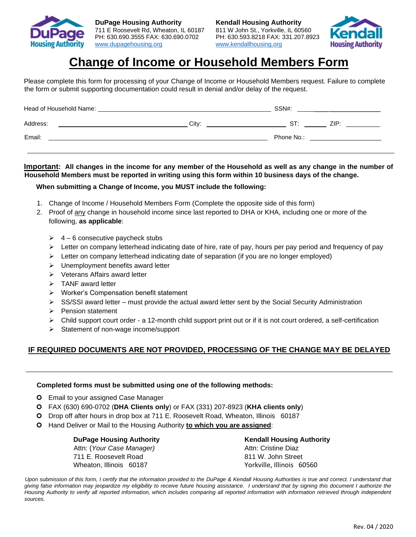



# **Change of Income or Household Members Form**

Please complete this form for processing of your Change of Income or Household Members request. Failure to complete the form or submit supporting documentation could result in denial and/or delay of the request.

| City: | ST: | ZIP <sup>.</sup>    |
|-------|-----|---------------------|
|       |     |                     |
|       |     | SSN#:<br>Phone No.: |

## **Important: All changes in the income for any member of the Household as well as any change in the number of Household Members must be reported in writing using this form within 10 business days of the change.**

## **When submitting a Change of Income, you MUST include the following:**

- 1. Change of Income / Household Members Form (Complete the opposite side of this form)
- 2. Proof of any change in household income since last reported to DHA or KHA, including one or more of the following, **as applicable**:
	- $\geq 4 6$  consecutive paycheck stubs
	- ➢ Letter on company letterhead indicating date of hire, rate of pay, hours per pay period and frequency of pay
	- ➢ Letter on company letterhead indicating date of separation (if you are no longer employed)
	- ➢ Unemployment benefits award letter
	- ➢ Veterans Affairs award letter
	- ➢ TANF award letter
	- ➢ Worker's Compensation benefit statement
	- $\triangleright$  SS/SSI award letter must provide the actual award letter sent by the Social Security Administration
	- ➢ Pension statement
	- ➢ Child support court order a 12-month child support print out or if it is not court ordered, a self-certification
	- ➢ Statement of non-wage income/support

# **IF REQUIRED DOCUMENTS ARE NOT PROVIDED, PROCESSING OF THE CHANGE MAY BE DELAYED**

### **Completed forms must be submitted using one of the following methods:**

- **O** Email to your assigned Case Manager
- FAX (630) 690-0702 (**DHA Clients only**) or FAX (331) 207-8923 (**KHA clients only**)
- Drop off after hours in drop box at 711 E. Roosevelt Road, Wheaton, Illinois 60187
- Hand Deliver or Mail to the Housing Authority **to which you are assigned**:

### **DuPage Housing Authority Common State Common Kendall Housing Authority**

Attn: (*Your Case Manager*) Attn: Cristine Diaz 711 E. Roosevelt Road 811 W. John Street Wheaton, Illinois 60187 Vorkville, Illinois 60560

Upon submission of this form, I certify that the information provided to the DuPage & Kendall Housing Authorities is true and correct. I understand that *giving false information may jeopardize my eligibility to receive future housing assistance. I understand that by signing this document I authorize the Housing Authority to verify all reported information, which includes comparing all reported information with information retrieved through independent sources.*